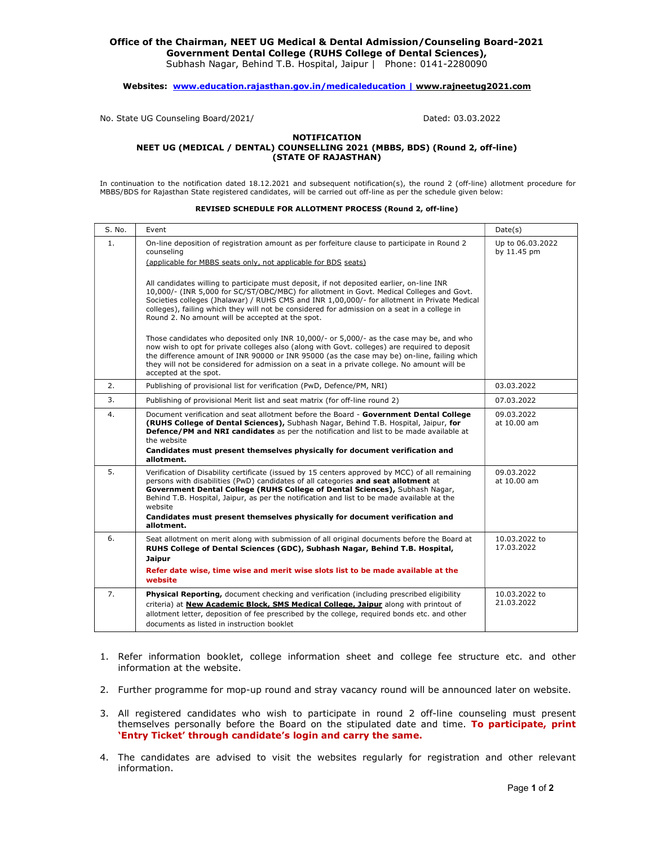## Office of the Chairman, NEET UG Medical & Dental Admission/Counseling Board-2021 Government Dental College (RUHS College of Dental Sciences),

Subhash Nagar, Behind T.B. Hospital, Jaipur | Phone: 0141-2280090

### Websites: www.education.rajasthan.gov.in/medicaleducation | www.rajneetug2021.com

No. State UG Counseling Board/2021/ Dated: 03.03.2022

#### NOTIFICATION NEET UG (MEDICAL / DENTAL) COUNSELLING 2021 (MBBS, BDS) (Round 2, off-line) (STATE OF RAJASTHAN)

In continuation to the notification dated 18.12.2021 and subsequent notification(s), the round 2 (off-line) allotment procedure for MBBS/BDS for Rajasthan State registered candidates, will be carried out off-line as per the schedule given below:

#### REVISED SCHEDULE FOR ALLOTMENT PROCESS (Round 2, off-line)

| S. No. | Event                                                                                                                                                                                                                                                                                                                                                                                                                                                                                                                                                                                                                                                                                                                                                                                                                                                                                                                                                                                                                                        | Date(s)                         |
|--------|----------------------------------------------------------------------------------------------------------------------------------------------------------------------------------------------------------------------------------------------------------------------------------------------------------------------------------------------------------------------------------------------------------------------------------------------------------------------------------------------------------------------------------------------------------------------------------------------------------------------------------------------------------------------------------------------------------------------------------------------------------------------------------------------------------------------------------------------------------------------------------------------------------------------------------------------------------------------------------------------------------------------------------------------|---------------------------------|
| 1.     | On-line deposition of registration amount as per forfeiture clause to participate in Round 2<br>counseling<br>(applicable for MBBS seats only, not applicable for BDS seats)<br>All candidates willing to participate must deposit, if not deposited earlier, on-line INR<br>10,000/- (INR 5,000 for SC/ST/OBC/MBC) for allotment in Govt. Medical Colleges and Govt.<br>Societies colleges (Jhalawar) / RUHS CMS and INR 1,00,000/- for allotment in Private Medical<br>colleges), failing which they will not be considered for admission on a seat in a college in<br>Round 2. No amount will be accepted at the spot.<br>Those candidates who deposited only INR 10,000/- or 5,000/- as the case may be, and who<br>now wish to opt for private colleges also (along with Govt. colleges) are required to deposit<br>the difference amount of INR 90000 or INR 95000 (as the case may be) on-line, failing which<br>they will not be considered for admission on a seat in a private college. No amount will be<br>accepted at the spot. | Up to 06.03.2022<br>by 11.45 pm |
| 2.     | Publishing of provisional list for verification (PwD, Defence/PM, NRI)                                                                                                                                                                                                                                                                                                                                                                                                                                                                                                                                                                                                                                                                                                                                                                                                                                                                                                                                                                       | 03.03.2022                      |
| 3.     | Publishing of provisional Merit list and seat matrix (for off-line round 2)                                                                                                                                                                                                                                                                                                                                                                                                                                                                                                                                                                                                                                                                                                                                                                                                                                                                                                                                                                  | 07.03.2022                      |
| 4.     | Document verification and seat allotment before the Board - Government Dental College<br>(RUHS College of Dental Sciences), Subhash Nagar, Behind T.B. Hospital, Jaipur, for<br>Defence/PM and NRI candidates as per the notification and list to be made available at<br>the website<br>Candidates must present themselves physically for document verification and<br>allotment.                                                                                                                                                                                                                                                                                                                                                                                                                                                                                                                                                                                                                                                           | 09.03.2022<br>at 10.00 am       |
| 5.     | Verification of Disability certificate (issued by 15 centers approved by MCC) of all remaining<br>persons with disabilities (PwD) candidates of all categories and seat allotment at<br>Government Dental College (RUHS College of Dental Sciences), Subhash Nagar,<br>Behind T.B. Hospital, Jaipur, as per the notification and list to be made available at the<br>website<br>Candidates must present themselves physically for document verification and<br>allotment.                                                                                                                                                                                                                                                                                                                                                                                                                                                                                                                                                                    | 09.03.2022<br>at 10.00 am       |
| 6.     | Seat allotment on merit along with submission of all original documents before the Board at<br>RUHS College of Dental Sciences (GDC), Subhash Nagar, Behind T.B. Hospital,<br><b>Jaipur</b><br>Refer date wise, time wise and merit wise slots list to be made available at the<br>website                                                                                                                                                                                                                                                                                                                                                                                                                                                                                                                                                                                                                                                                                                                                                   | 10.03.2022 to<br>17.03.2022     |
| 7.     | Physical Reporting, document checking and verification (including prescribed eligibility<br>criteria) at <b>New Academic Block, SMS Medical College, Jaipur</b> along with printout of<br>allotment letter, deposition of fee prescribed by the college, required bonds etc. and other<br>documents as listed in instruction booklet                                                                                                                                                                                                                                                                                                                                                                                                                                                                                                                                                                                                                                                                                                         | 10.03.2022 to<br>21.03.2022     |

- 1. Refer information booklet, college information sheet and college fee structure etc. and other information at the website.
- 2. Further programme for mop-up round and stray vacancy round will be announced later on website.
- 3. All registered candidates who wish to participate in round 2 off-line counseling must present themselves personally before the Board on the stipulated date and time. To participate, print 'Entry Ticket' through candidate's login and carry the same.
- 4. The candidates are advised to visit the websites regularly for registration and other relevant information.